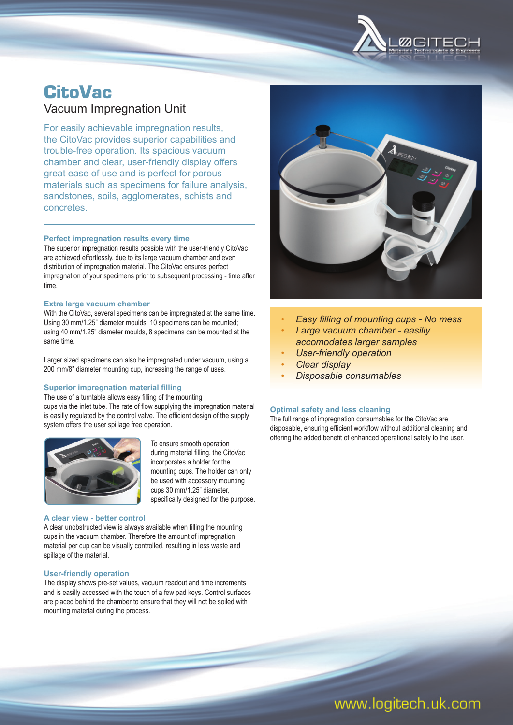

## **CitoVac** Vacuum Impregnation Unit

For easily achievable impregnation results, the CitoVac provides superior capabilities and trouble-free operation. Its spacious vacuum chamber and clear, user-friendly display offers great ease of use and is perfect for porous materials such as specimens for failure analysis, sandstones, soils, agglomerates, schists and concretes.

#### **Perfect impregnation results every time**

The superior impregnation results possible with the user-friendly CitoVac are achieved effortlessly, due to its large vacuum chamber and even distribution of impregnation material. The CitoVac ensures perfect impregnation of your specimens prior to subsequent processing - time after time.

#### **Extra large vacuum chamber**

With the CitoVac, several specimens can be impregnated at the same time. Using 30 mm/1.25" diameter moulds, 10 specimens can be mounted; using 40 mm/1.25" diameter moulds, 8 specimens can be mounted at the same time.

Larger sized specimens can also be impregnated under vacuum, using a 200 mm/8" diameter mounting cup, increasing the range of uses.

#### **Superior impregnation material filling**

The use of a turntable allows easy filling of the mounting cups via the inlet tube. The rate of flow supplying the impregnation material is easilly regulated by the control valve. The efficient design of the supply system offers the user spillage free operation.



To ensure smooth operation during material filling, the CitoVac incorporates a holder for the mounting cups. The holder can only be used with accessory mounting cups 30 mm/1.25" diameter, specifically designed for the purpose.

### **A clear view - better control**

A clear unobstructed view is always available when filling the mounting cups in the vacuum chamber. Therefore the amount of impregnation material per cup can be visually controlled, resulting in less waste and spillage of the material.

#### **User-friendly operation**

The display shows pre-set values, vacuum readout and time increments and is easilly accessed with the touch of a few pad keys. Control surfaces are placed behind the chamber to ensure that they will not be soiled with mounting material during the process.



- *Easy fi lling of mounting cups No mess*
- • *Large vacuum chamber easilly accomodates larger samples*
- • *User-friendly operation*
- • *Clear display*
- • *Disposable consumables*

#### **Optimal safety and less cleaning**

The full range of impregnation consumables for the CitoVac are disposable, ensuring efficient workflow without additional cleaning and offering the added benefit of enhanced operational safety to the user.

# www.logitech.uk.com